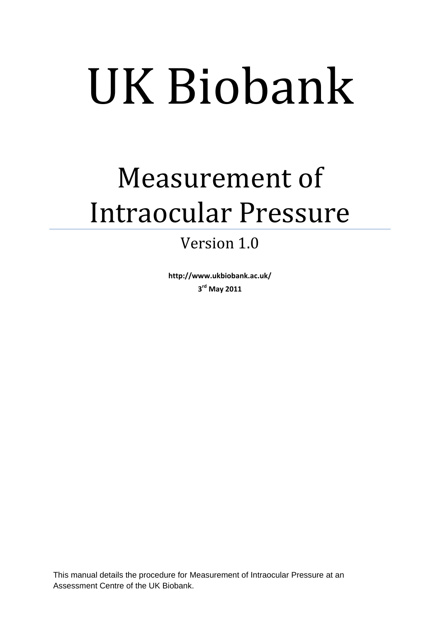# UK Biobank

## Measurement of Intraocular Pressure

### Version 1.0

**http://www.ukbiobank.ac.uk/ 3 rd May 2011**

This manual details the procedure for Measurement of Intraocular Pressure at an Assessment Centre of the UK Biobank.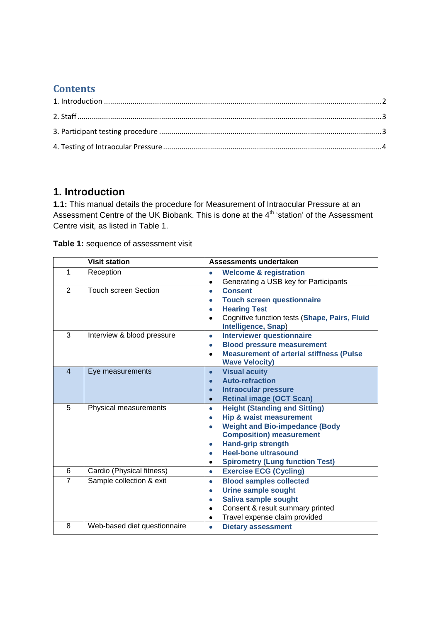#### **Contents**

#### <span id="page-1-0"></span>**1. Introduction**

**1.1:** This manual details the procedure for Measurement of Intraocular Pressure at an Assessment Centre of the UK Biobank. This is done at the 4th 'station' of the Assessment Centre visit, as listed in Table 1.

**Table 1:** sequence of assessment visit

|                | <b>Visit station</b>         | Assessments undertaken                                       |  |  |
|----------------|------------------------------|--------------------------------------------------------------|--|--|
| 1              | Reception                    | <b>Welcome &amp; registration</b><br>$\bullet$               |  |  |
|                |                              | Generating a USB key for Participants<br>$\bullet$           |  |  |
| $\overline{2}$ | <b>Touch screen Section</b>  | <b>Consent</b><br>$\bullet$                                  |  |  |
|                |                              | <b>Touch screen questionnaire</b><br>$\bullet$               |  |  |
|                |                              | <b>Hearing Test</b><br>$\bullet$                             |  |  |
|                |                              | Cognitive function tests (Shape, Pairs, Fluid<br>$\bullet$   |  |  |
|                |                              | Intelligence, Snap)                                          |  |  |
| 3              | Interview & blood pressure   | <b>Interviewer questionnaire</b><br>$\bullet$                |  |  |
|                |                              | <b>Blood pressure measurement</b><br>$\bullet$               |  |  |
|                |                              | <b>Measurement of arterial stiffness (Pulse</b><br>$\bullet$ |  |  |
|                |                              | <b>Wave Velocity)</b>                                        |  |  |
| $\overline{4}$ | Eye measurements             | <b>Visual acuity</b><br>$\bullet$                            |  |  |
|                |                              | <b>Auto-refraction</b><br>$\bullet$                          |  |  |
|                |                              | <b>Intraocular pressure</b><br>$\bullet$                     |  |  |
|                |                              | <b>Retinal image (OCT Scan)</b><br>$\bullet$                 |  |  |
| 5              | Physical measurements        | <b>Height (Standing and Sitting)</b><br>$\bullet$            |  |  |
|                |                              | <b>Hip &amp; waist measurement</b><br>$\bullet$              |  |  |
|                |                              | <b>Weight and Bio-impedance (Body</b><br>$\bullet$           |  |  |
|                |                              | <b>Composition) measurement</b>                              |  |  |
|                |                              | <b>Hand-grip strength</b><br>$\bullet$                       |  |  |
|                |                              | <b>Heel-bone ultrasound</b><br>$\bullet$                     |  |  |
|                |                              | <b>Spirometry (Lung function Test)</b><br>٠                  |  |  |
| 6              | Cardio (Physical fitness)    | <b>Exercise ECG (Cycling)</b><br>$\bullet$                   |  |  |
| $\overline{7}$ | Sample collection & exit     | <b>Blood samples collected</b><br>$\bullet$                  |  |  |
|                |                              | <b>Urine sample sought</b><br>$\bullet$                      |  |  |
|                |                              | Saliva sample sought<br>$\bullet$                            |  |  |
|                |                              | Consent & result summary printed<br>$\bullet$                |  |  |
|                |                              | Travel expense claim provided<br>$\bullet$                   |  |  |
| 8              | Web-based diet questionnaire | <b>Dietary assessment</b><br>$\bullet$                       |  |  |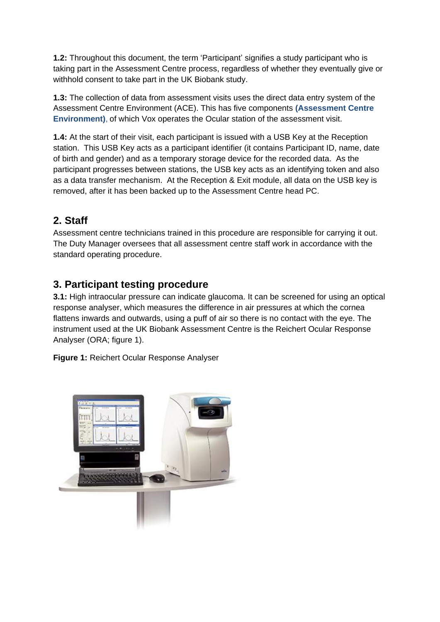**1.2:** Throughout this document, the term 'Participant' signifies a study participant who is taking part in the Assessment Centre process, regardless of whether they eventually give or withhold consent to take part in the UK Biobank study.

**1.3:** The collection of data from assessment visits uses the direct data entry system of the Assessment Centre Environment (ACE). This has five components **(Assessment Centre Environment)**, of which Vox operates the Ocular station of the assessment visit.

**1.4:** At the start of their visit, each participant is issued with a USB Key at the Reception station. This USB Key acts as a participant identifier (it contains Participant ID, name, date of birth and gender) and as a temporary storage device for the recorded data. As the participant progresses between stations, the USB key acts as an identifying token and also as a data transfer mechanism. At the Reception & Exit module, all data on the USB key is removed, after it has been backed up to the Assessment Centre head PC.

#### <span id="page-2-0"></span>**2. Staff**

Assessment centre technicians trained in this procedure are responsible for carrying it out. The Duty Manager oversees that all assessment centre staff work in accordance with the standard operating procedure.

#### <span id="page-2-1"></span>**3. Participant testing procedure**

**3.1:** High intraocular pressure can indicate glaucoma. It can be screened for using an optical response analyser, which measures the difference in air pressures at which the cornea flattens inwards and outwards, using a puff of air so there is no contact with the eye. The instrument used at the UK Biobank Assessment Centre is the Reichert Ocular Response Analyser (ORA; figure 1).

**Figure 1:** Reichert Ocular Response Analyser

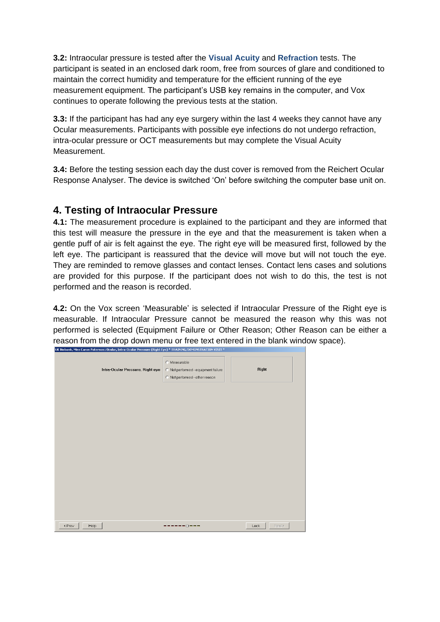**3.2:** Intraocular pressure is tested after the **Visual Acuity** and **Refraction** tests. The participant is seated in an enclosed dark room, free from sources of glare and conditioned to maintain the correct humidity and temperature for the efficient running of the eye measurement equipment. The participant's USB key remains in the computer, and Vox continues to operate following the previous tests at the station.

**3.3:** If the participant has had any eye surgery within the last 4 weeks they cannot have any Ocular measurements. Participants with possible eye infections do not undergo refraction, intra-ocular pressure or OCT measurements but may complete the Visual Acuity Measurement.

**3.4:** Before the testing session each day the dust cover is removed from the Reichert Ocular Response Analyser. The device is switched 'On' before switching the computer base unit on.

#### <span id="page-3-0"></span>**4. Testing of Intraocular Pressure**

**4.1:** The measurement procedure is explained to the participant and they are informed that this test will measure the pressure in the eye and that the measurement is taken when a gentle puff of air is felt against the eye. The right eye will be measured first, followed by the left eye. The participant is reassured that the device will move but will not touch the eye. They are reminded to remove glasses and contact lenses. Contact lens cases and solutions are provided for this purpose. If the participant does not wish to do this, the test is not performed and the reason is recorded.

**4.2:** On the Vox screen 'Measurable' is selected if Intraocular Pressure of the Right eye is measurable. If Intraocular Pressure cannot be measured the reason why this was not performed is selected (Equipment Failure or Other Reason; Other Reason can be either a reason from the drop down menu or free text entered in the blank window space). UK Biobank, Miss Caron Paterson : Ocular, Intra-Ocular Pressure (Right Eye) \* TRAINING/DEMONSTRATION VISIT \*

| Intra-Ocular Pressure, Right eye | C Measurable<br>C Not performed - equipment failure<br>C Not performed - other reason | Right          |
|----------------------------------|---------------------------------------------------------------------------------------|----------------|
|                                  |                                                                                       |                |
|                                  |                                                                                       |                |
|                                  |                                                                                       |                |
|                                  |                                                                                       |                |
| < Prev<br>Help                   | ----0---                                                                              | Next ><br>Lock |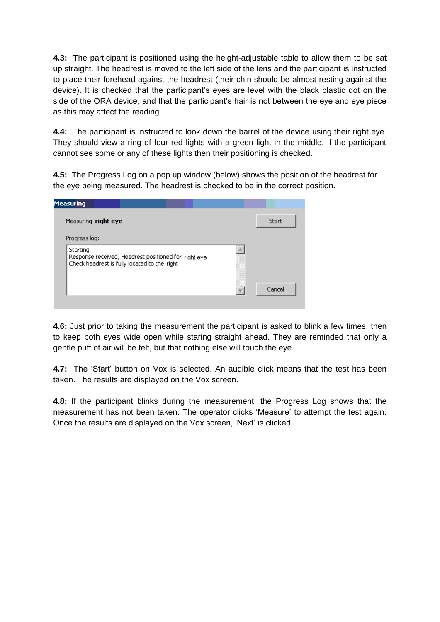**4.3:** The participant is positioned using the height-adjustable table to allow them to be sat up straight. The headrest is moved to the left side of the lens and the participant is instructed to place their forehead against the headrest (their chin should be almost resting against the device). It is checked that the participant's eyes are level with the black plastic dot on the side of the ORA device, and that the participant's hair is not between the eye and eye piece as this may affect the reading.

**4.4:** The participant is instructed to look down the barrel of the device using their right eye. They should view a ring of four red lights with a green light in the middle. If the participant cannot see some or any of these lights then their positioning is checked.

**4.5:** The Progress Log on a pop up window (below) shows the position of the headrest for the eye being measured. The headrest is checked to be in the correct position.

| <b>Measuring</b>                                                                                                 |        |
|------------------------------------------------------------------------------------------------------------------|--------|
| Measuring right eye                                                                                              | Start  |
| Progress log:                                                                                                    |        |
| Starting<br>Response received, Headrest positioned for right eye<br>Check headrest is fully located to the right |        |
|                                                                                                                  | Cancel |

**4.6:** Just prior to taking the measurement the participant is asked to blink a few times, then to keep both eyes wide open while staring straight ahead. They are reminded that only a gentle puff of air will be felt, but that nothing else will touch the eye.

**4.7:** The 'Start' button on Vox is selected. An audible click means that the test has been taken. The results are displayed on the Vox screen.

**4.8:** If the participant blinks during the measurement, the Progress Log shows that the measurement has not been taken. The operator clicks 'Measure' to attempt the test again. Once the results are displayed on the Vox screen, 'Next' is clicked.